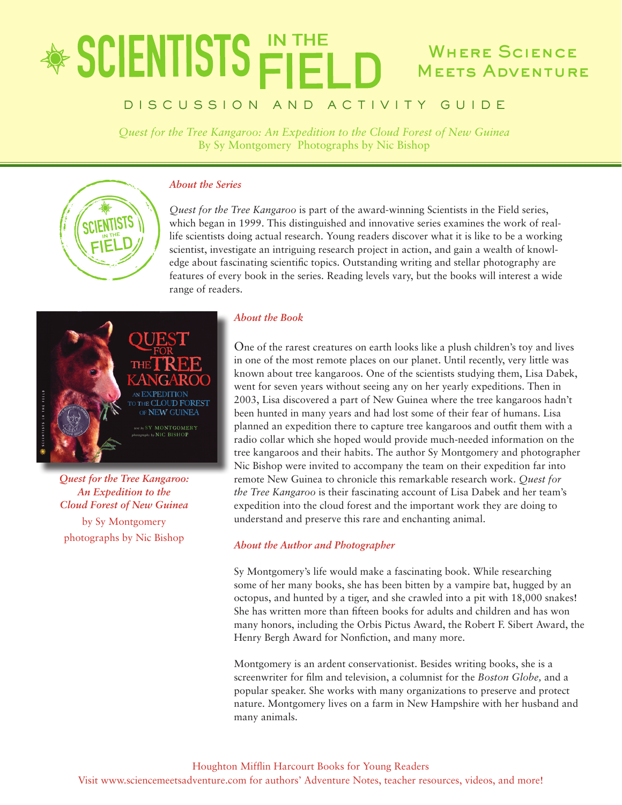## **SCIENTISTS FIFT** WHERE SCIENCE Meets Adventure

## DISCUSSION AND ACTIVITY GUIDE

*Quest for the Tree Kangaroo: An Expedition to the Cloud Forest of New Guinea* By Sy Montgomery Photographs by Nic Bishop



### *About the Series*

*Quest for the Tree Kangaroo* is part of the award-winning Scientists in the Field series, which began in 1999. This distinguished and innovative series examines the work of reallife scientists doing actual research. Young readers discover what it is like to be a working scientist, investigate an intriguing research project in action, and gain a wealth of knowledge about fascinating scientific topics. Outstanding writing and stellar photography are features of every book in the series. Reading levels vary, but the books will interest a wide range of readers.



*Quest for the Tree Kangaroo: An Expedition to the Cloud Forest of New Guinea*

by Sy Montgomery photographs by Nic Bishop

### *About the Book*

One of the rarest creatures on earth looks like a plush children's toy and lives in one of the most remote places on our planet. Until recently, very little was known about tree kangaroos. One of the scientists studying them, Lisa Dabek, went for seven years without seeing any on her yearly expeditions. Then in 2003, Lisa discovered a part of New Guinea where the tree kangaroos hadn't been hunted in many years and had lost some of their fear of humans. Lisa planned an expedition there to capture tree kangaroos and outfit them with a radio collar which she hoped would provide much-needed information on the tree kangaroos and their habits. The author Sy Montgomery and photographer Nic Bishop were invited to accompany the team on their expedition far into remote New Guinea to chronicle this remarkable research work. *Quest for the Tree Kangaroo* is their fascinating account of Lisa Dabek and her team's expedition into the cloud forest and the important work they are doing to understand and preserve this rare and enchanting animal.

### *About the Author and Photographer*

Sy Montgomery's life would make a fascinating book. While researching some of her many books, she has been bitten by a vampire bat, hugged by an octopus, and hunted by a tiger, and she crawled into a pit with 18,000 snakes! She has written more than fifteen books for adults and children and has won many honors, including the Orbis Pictus Award, the Robert F. Sibert Award, the Henry Bergh Award for Nonfiction, and many more.

Montgomery is an ardent conservationist. Besides writing books, she is a screenwriter for film and television, a columnist for the *Boston Globe,* and a popular speaker. She works with many organizations to preserve and protect nature. Montgomery lives on a farm in New Hampshire with her husband and many animals.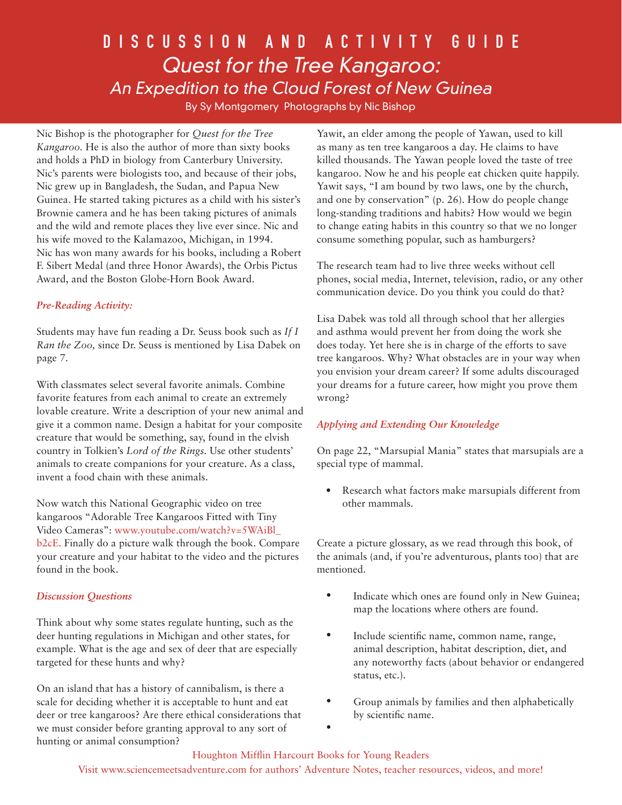## DISCUSSION AND ACTIVITY GUIDE Quest for the Tree Kangaroo: An Expedition to the Cloud Forest of New Guinea

By Sy Montgomery Photographs by Nic Bishop

Nic Bishop is the photographer for *Quest for the Tree Kangaroo.* He is also the author of more than sixty books and holds a PhD in biology from Canterbury University. Nic's parents were biologists too, and because of their jobs, Nic grew up in Bangladesh, the Sudan, and Papua New Guinea. He started taking pictures as a child with his sister's Brownie camera and he has been taking pictures of animals and the wild and remote places they live ever since. Nic and his wife moved to the Kalamazoo, Michigan, in 1994. Nic has won many awards for his books, including a Robert F. Sibert Medal (and three Honor Awards), the Orbis Pictus Award, and the Boston Globe-Horn Book Award.

## *Pre-Reading Activity:*

Students may have fun reading a Dr. Seuss book such as *If I Ran the Zoo,* since Dr. Seuss is mentioned by Lisa Dabek on page 7.

With classmates select several favorite animals. Combine favorite features from each animal to create an extremely lovable creature. Write a description of your new animal and give it a common name. Design a habitat for your composite creature that would be something, say, found in the elvish country in Tolkien's *Lord of the Rings.* Use other students' animals to create companions for your creature. As a class, invent a food chain with these animals.

Now watch this National Geographic video on tree kangaroos "Adorable Tree Kangaroos Fitted with Tiny Video Cameras": www.youtube.com/watch?v=5WAiBl\_ b2cE. Finally do a picture walk through the book. Compare your creature and your habitat to the video and the pictures found in the book.

### *Discussion Questions*

Think about why some states regulate hunting, such as the deer hunting regulations in Michigan and other states, for example. What is the age and sex of deer that are especially targeted for these hunts and why?

On an island that has a history of cannibalism, is there a scale for deciding whether it is acceptable to hunt and eat deer or tree kangaroos? Are there ethical considerations that we must consider before granting approval to any sort of hunting or animal consumption?

Yawit, an elder among the people of Yawan, used to kill as many as ten tree kangaroos a day. He claims to have killed thousands. The Yawan people loved the taste of tree kangaroo. Now he and his people eat chicken quite happily. Yawit says, "I am bound by two laws, one by the church, and one by conservation" (p. 26). How do people change long-standing traditions and habits? How would we begin to change eating habits in this country so that we no longer consume something popular, such as hamburgers?

The research team had to live three weeks without cell phones, social media, Internet, television, radio, or any other communication device. Do you think you could do that?

Lisa Dabek was told all through school that her allergies and asthma would prevent her from doing the work she does today. Yet here she is in charge of the efforts to save tree kangaroos. Why? What obstacles are in your way when you envision your dream career? If some adults discouraged your dreams for a future career, how might you prove them wrong?

### *Applying and Extending Our Knowledge*

On page 22, "Marsupial Mania" states that marsupials are a special type of mammal.

• Research what factors make marsupials different from other mammals.

Create a picture glossary, as we read through this book, of the animals (and, if you're adventurous, plants too) that are mentioned.

- Indicate which ones are found only in New Guinea; map the locations where others are found.
- Include scientific name, common name, range, animal description, habitat description, diet, and any noteworthy facts (about behavior or endangered status, etc.).
- Group animals by families and then alphabetically by scientific name.
- •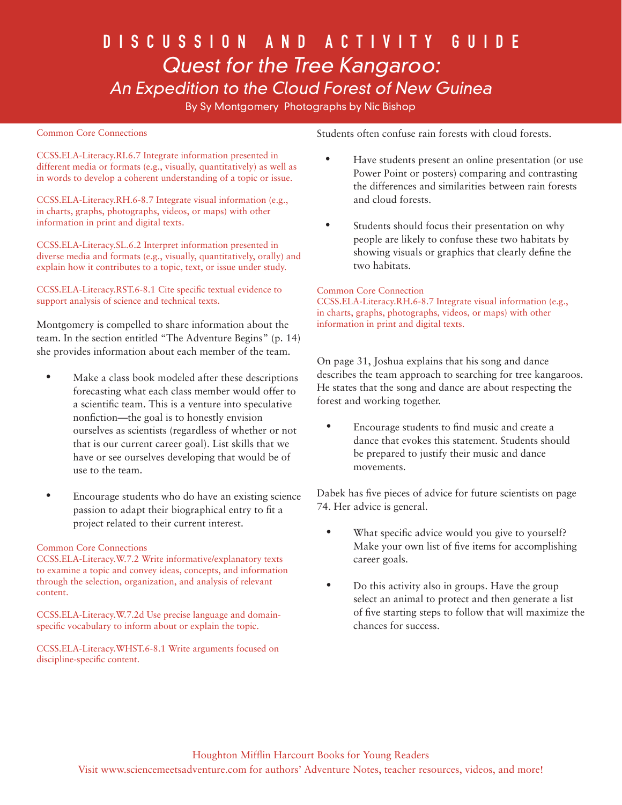## DISCUSSION AND ACTIVITY GUIDE Quest for the Tree Kangaroo: An Expedition to the Cloud Forest of New Guinea

By Sy Montgomery Photographs by Nic Bishop

#### Common Core Connections

CCSS.ELA-Literacy.RI.6.7 Integrate information presented in different media or formats (e.g., visually, quantitatively) as well as in words to develop a coherent understanding of a topic or issue.

CCSS.ELA-Literacy.RH.6-8.7 Integrate visual information (e.g., in charts, graphs, photographs, videos, or maps) with other information in print and digital texts.

CCSS.ELA-Literacy.SL.6.2 Interpret information presented in diverse media and formats (e.g., visually, quantitatively, orally) and explain how it contributes to a topic, text, or issue under study.

#### CCSS.ELA-Literacy.RST.6-8.1 Cite specific textual evidence to support analysis of science and technical texts.

Montgomery is compelled to share information about the team. In the section entitled "The Adventure Begins" (p. 14) she provides information about each member of the team.

- Make a class book modeled after these descriptions forecasting what each class member would offer to a scientific team. This is a venture into speculative nonfiction—the goal is to honestly envision ourselves as scientists (regardless of whether or not that is our current career goal). List skills that we have or see ourselves developing that would be of use to the team.
- Encourage students who do have an existing science passion to adapt their biographical entry to fit a project related to their current interest.

#### Common Core Connections

CCSS.ELA-Literacy.W.7.2 Write informative/explanatory texts to examine a topic and convey ideas, concepts, and information through the selection, organization, and analysis of relevant content.

CCSS.ELA-Literacy.W.7.2d Use precise language and domainspecific vocabulary to inform about or explain the topic.

CCSS.ELA-Literacy.WHST.6-8.1 Write arguments focused on discipline-specific content.

Students often confuse rain forests with cloud forests.

- Have students present an online presentation (or use Power Point or posters) comparing and contrasting the differences and similarities between rain forests and cloud forests.
- Students should focus their presentation on why people are likely to confuse these two habitats by showing visuals or graphics that clearly define the two habitats.

#### Common Core Connection

CCSS.ELA-Literacy.RH.6-8.7 Integrate visual information (e.g., in charts, graphs, photographs, videos, or maps) with other information in print and digital texts.

On page 31, Joshua explains that his song and dance describes the team approach to searching for tree kangaroos. He states that the song and dance are about respecting the forest and working together.

• Encourage students to find music and create a dance that evokes this statement. Students should be prepared to justify their music and dance movements.

Dabek has five pieces of advice for future scientists on page 74. Her advice is general.

- What specific advice would you give to yourself? Make your own list of five items for accomplishing career goals.
- Do this activity also in groups. Have the group select an animal to protect and then generate a list of five starting steps to follow that will maximize the chances for success.